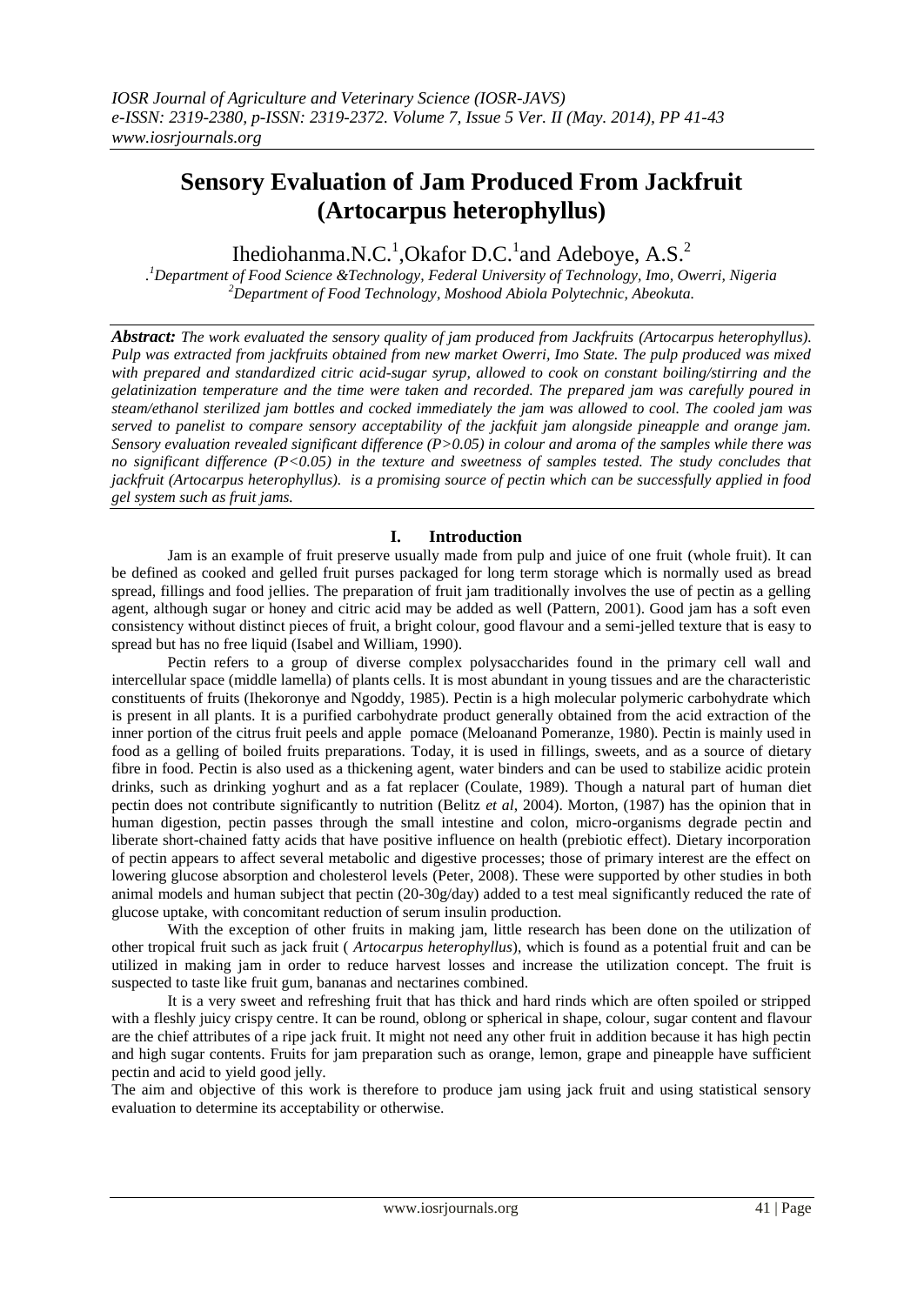# **Sensory Evaluation of Jam Produced From Jackfruit (Artocarpus heterophyllus)**

## Ihediohanma.N.C.<sup>1</sup>,Okafor D.C.<sup>1</sup> and Adeboye, A.S.<sup>2</sup>

*. <sup>1</sup>Department of Food Science &Technology, Federal University of Technology, Imo, Owerri, Nigeria <sup>2</sup>Department of Food Technology, Moshood Abiola Polytechnic, Abeokuta.*

*Abstract: The work evaluated the sensory quality of jam produced from Jackfruits (Artocarpus heterophyllus). Pulp was extracted from jackfruits obtained from new market Owerri, Imo State. The pulp produced was mixed with prepared and standardized citric acid-sugar syrup, allowed to cook on constant boiling/stirring and the gelatinization temperature and the time were taken and recorded. The prepared jam was carefully poured in steam/ethanol sterilized jam bottles and cocked immediately the jam was allowed to cool. The cooled jam was served to panelist to compare sensory acceptability of the jackfuit jam alongside pineapple and orange jam. Sensory evaluation revealed significant difference (P>0.05) in colour and aroma of the samples while there was no significant difference (P<0.05) in the texture and sweetness of samples tested. The study concludes that jackfruit (Artocarpus heterophyllus). is a promising source of pectin which can be successfully applied in food gel system such as fruit jams.*

#### **I. Introduction**

Jam is an example of fruit preserve usually made from pulp and juice of one fruit (whole fruit). It can be defined as cooked and gelled fruit purses packaged for long term storage which is normally used as bread spread, fillings and food jellies. The preparation of fruit jam traditionally involves the use of pectin as a gelling agent, although sugar or honey and citric acid may be added as well (Pattern, 2001). Good jam has a soft even consistency without distinct pieces of fruit, a bright colour, good flavour and a semi-jelled texture that is easy to spread but has no free liquid (Isabel and William, 1990).

Pectin refers to a group of diverse complex polysaccharides found in the primary cell wall and intercellular space (middle lamella) of plants cells. It is most abundant in young tissues and are the characteristic constituents of fruits (Ihekoronye and Ngoddy, 1985). Pectin is a high molecular polymeric carbohydrate which is present in all plants. It is a purified carbohydrate product generally obtained from the acid extraction of the inner portion of the citrus fruit peels and apple pomace (Meloanand Pomeranze, 1980). Pectin is mainly used in food as a gelling of boiled fruits preparations. Today, it is used in fillings, sweets, and as a source of dietary fibre in food. Pectin is also used as a thickening agent, water binders and can be used to stabilize acidic protein drinks, such as drinking yoghurt and as a fat replacer (Coulate, 1989). Though a natural part of human diet pectin does not contribute significantly to nutrition (Belitz *et al*, 2004). Morton, (1987) has the opinion that in human digestion, pectin passes through the small intestine and colon, micro-organisms degrade pectin and liberate short-chained fatty acids that have positive influence on health (prebiotic effect). Dietary incorporation of pectin appears to affect several metabolic and digestive processes; those of primary interest are the effect on lowering glucose absorption and cholesterol levels (Peter, 2008). These were supported by other studies in both animal models and human subject that pectin (20-30g/day) added to a test meal significantly reduced the rate of glucose uptake, with concomitant reduction of serum insulin production.

With the exception of other fruits in making jam, little research has been done on the utilization of other tropical fruit such as jack fruit ( *Artocarpus heterophyllus*), which is found as a potential fruit and can be utilized in making jam in order to reduce harvest losses and increase the utilization concept. The fruit is suspected to taste like fruit gum, bananas and nectarines combined.

It is a very sweet and refreshing fruit that has thick and hard rinds which are often spoiled or stripped with a fleshly juicy crispy centre. It can be round, oblong or spherical in shape, colour, sugar content and flavour are the chief attributes of a ripe jack fruit. It might not need any other fruit in addition because it has high pectin and high sugar contents. Fruits for jam preparation such as orange, lemon, grape and pineapple have sufficient pectin and acid to yield good jelly.

The aim and objective of this work is therefore to produce jam using jack fruit and using statistical sensory evaluation to determine its acceptability or otherwise.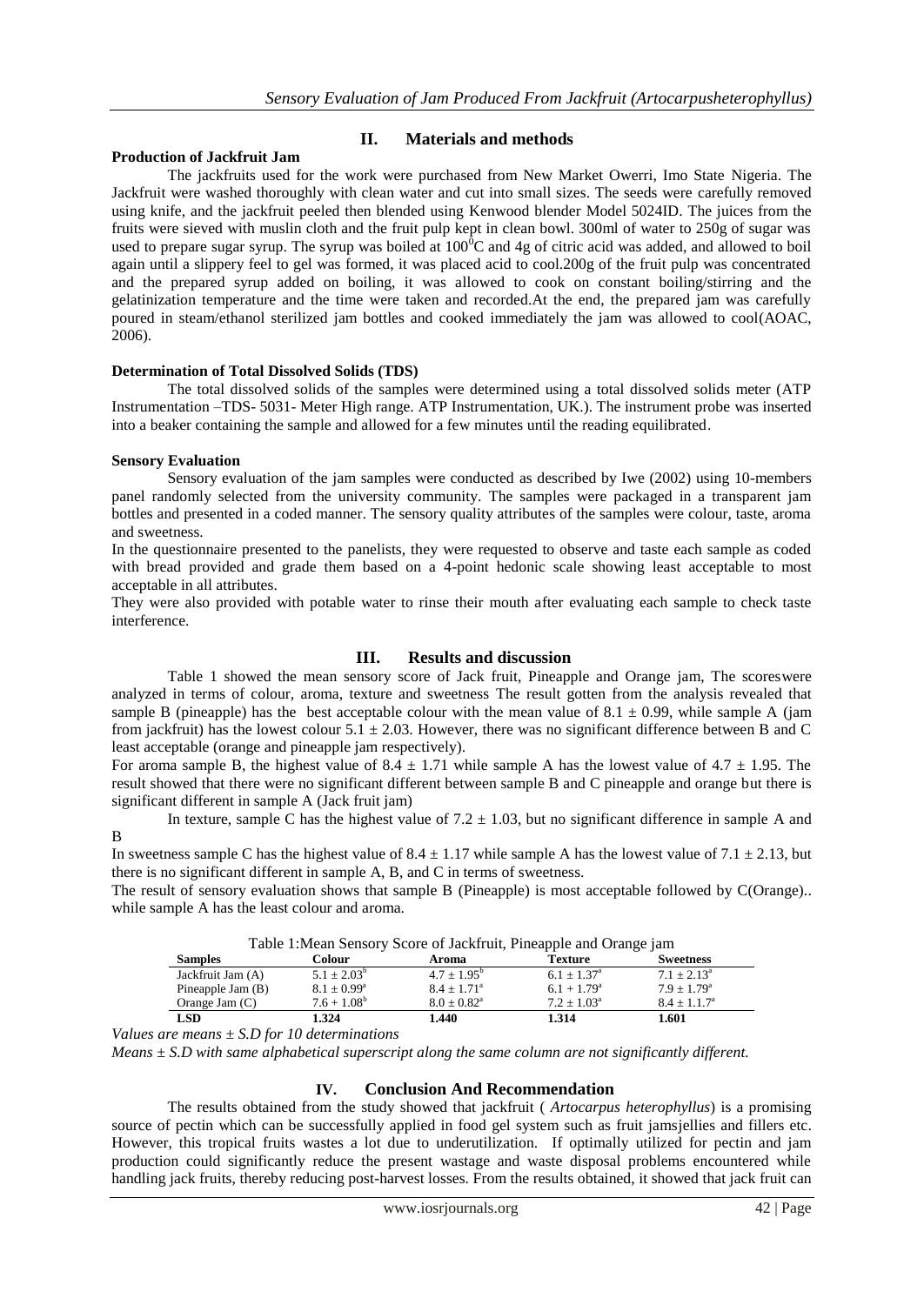### **Production of Jackfruit Jam**

**II. Materials and methods**

The jackfruits used for the work were purchased from New Market Owerri, Imo State Nigeria. The Jackfruit were washed thoroughly with clean water and cut into small sizes. The seeds were carefully removed using knife, and the jackfruit peeled then blended using Kenwood blender Model 5024ID. The juices from the fruits were sieved with muslin cloth and the fruit pulp kept in clean bowl. 300ml of water to 250g of sugar was used to prepare sugar syrup. The syrup was boiled at  $100^{\circ}$ C and 4g of citric acid was added, and allowed to boil again until a slippery feel to gel was formed, it was placed acid to cool.200g of the fruit pulp was concentrated and the prepared syrup added on boiling, it was allowed to cook on constant boiling/stirring and the gelatinization temperature and the time were taken and recorded.At the end, the prepared jam was carefully poured in steam/ethanol sterilized jam bottles and cooked immediately the jam was allowed to cool(AOAC, 2006).

#### **Determination of Total Dissolved Solids (TDS)**

The total dissolved solids of the samples were determined using a total dissolved solids meter (ATP Instrumentation –TDS- 5031- Meter High range. ATP Instrumentation, UK.). The instrument probe was inserted into a beaker containing the sample and allowed for a few minutes until the reading equilibrated.

#### **Sensory Evaluation**

Sensory evaluation of the jam samples were conducted as described by Iwe (2002) using 10-members panel randomly selected from the university community. The samples were packaged in a transparent jam bottles and presented in a coded manner. The sensory quality attributes of the samples were colour, taste, aroma and sweetness.

In the questionnaire presented to the panelists, they were requested to observe and taste each sample as coded with bread provided and grade them based on a 4-point hedonic scale showing least acceptable to most acceptable in all attributes.

They were also provided with potable water to rinse their mouth after evaluating each sample to check taste interference.

#### **III. Results and discussion**

Table 1 showed the mean sensory score of Jack fruit, Pineapple and Orange jam, The scoreswere analyzed in terms of colour, aroma, texture and sweetness The result gotten from the analysis revealed that sample B (pineapple) has the best acceptable colour with the mean value of  $8.1 \pm 0.99$ , while sample A (jam from jackfruit) has the lowest colour  $5.1 \pm 2.03$ . However, there was no significant difference between B and C least acceptable (orange and pineapple jam respectively).

For aroma sample B, the highest value of  $8.4 \pm 1.71$  while sample A has the lowest value of  $4.7 \pm 1.95$ . The result showed that there were no significant different between sample B and C pineapple and orange but there is significant different in sample A (Jack fruit jam)

In texture, sample C has the highest value of  $7.2 \pm 1.03$ , but no significant difference in sample A and B

In sweetness sample C has the highest value of  $8.4 \pm 1.17$  while sample A has the lowest value of  $7.1 \pm 2.13$ , but there is no significant different in sample A, B, and C in terms of sweetness.

The result of sensory evaluation shows that sample B (Pineapple) is most acceptable followed by C(Orange).. while sample A has the least colour and aroma.

| Table 1: Mean Sensory Score of Jackfruit, Pineapple and Orange jam |                        |                        |                      |                           |  |
|--------------------------------------------------------------------|------------------------|------------------------|----------------------|---------------------------|--|
| <b>Samples</b>                                                     | Colour                 | Aroma                  | <b>Texture</b>       | <b>Sweetness</b>          |  |
| Jackfruit Jam (A)                                                  | $5.1 + 2.03^b$         | $4.7 + 1.95^b$         | $6.1 + 1.37^{\circ}$ | $7.1 \pm 2.13^{\circ}$    |  |
| Pineapple Jam (B)                                                  | $8.1 \pm 0.99^{\rm a}$ | $8.4 + 1.71^{\circ}$   | $6.1 + 1.79^{\circ}$ | $7.9 + 1.79$ <sup>a</sup> |  |
| Orange Jam $(C)$                                                   | $7.6 + 1.08^b$         | $8.0 \pm 0.82^{\rm a}$ | $7.2 + 1.03a$        | $8.4 \pm 1.1.7^{\circ}$   |  |
| LSD                                                                | 1.324                  | 1.440                  | 1.314                | 1.601                     |  |

| Table 1: Mean Sensory Score of Jackfruit, Pineapple and Orange jam |  |  |  |
|--------------------------------------------------------------------|--|--|--|
|--------------------------------------------------------------------|--|--|--|

*Values are means ± S.D for 10 determinations* 

*Means ± S.D with same alphabetical superscript along the same column are not significantly different.*

#### **IV. Conclusion And Recommendation**

The results obtained from the study showed that jackfruit ( *Artocarpus heterophyllus*) is a promising source of pectin which can be successfully applied in food gel system such as fruit jamsjellies and fillers etc. However, this tropical fruits wastes a lot due to underutilization. If optimally utilized for pectin and jam production could significantly reduce the present wastage and waste disposal problems encountered while handling jack fruits, thereby reducing post-harvest losses. From the results obtained, it showed that jack fruit can